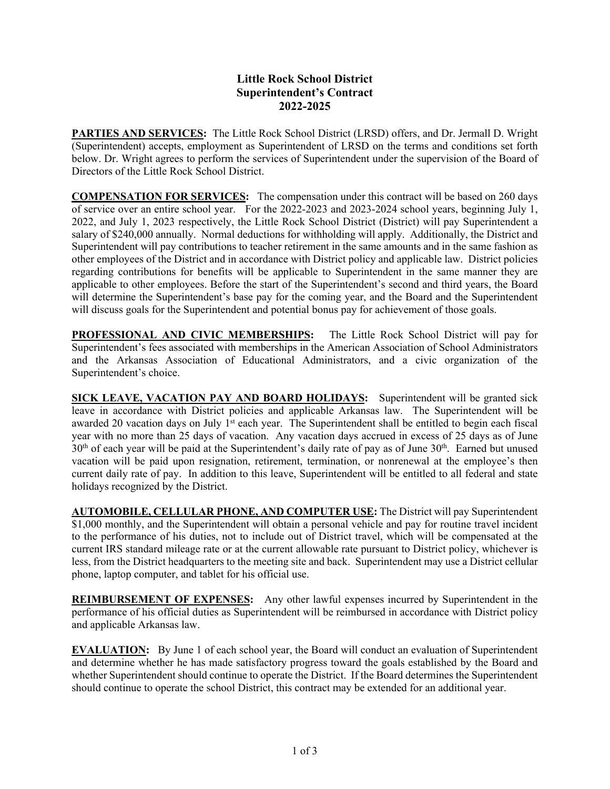## **Little Rock School District Superintendent's Contract 2022-2025**

**PARTIES AND SERVICES:** The Little Rock School District (LRSD) offers, and Dr. Jermall D. Wright (Superintendent) accepts, employment as Superintendent of LRSD on the terms and conditions set forth below. Dr. Wright agrees to perform the services of Superintendent under the supervision of the Board of Directors of the Little Rock School District.

**COMPENSATION FOR SERVICES:** The compensation under this contract will be based on 260 days of service over an entire school year. For the 2022-2023 and 2023-2024 school years, beginning July 1, 2022, and July 1, 2023 respectively, the Little Rock School District (District) will pay Superintendent a salary of \$240,000 annually. Normal deductions for withholding will apply. Additionally, the District and Superintendent will pay contributions to teacher retirement in the same amounts and in the same fashion as other employees of the District and in accordance with District policy and applicable law. District policies regarding contributions for benefits will be applicable to Superintendent in the same manner they are applicable to other employees. Before the start of the Superintendent's second and third years, the Board will determine the Superintendent's base pay for the coming year, and the Board and the Superintendent will discuss goals for the Superintendent and potential bonus pay for achievement of those goals.

**PROFESSIONAL AND CIVIC MEMBERSHIPS:** The Little Rock School District will pay for Superintendent's fees associated with memberships in the American Association of School Administrators and the Arkansas Association of Educational Administrators, and a civic organization of the Superintendent's choice.

**SICK LEAVE, VACATION PAY AND BOARD HOLIDAYS:** Superintendent will be granted sick leave in accordance with District policies and applicable Arkansas law. The Superintendent will be awarded 20 vacation days on July 1<sup>st</sup> each year. The Superintendent shall be entitled to begin each fiscal year with no more than 25 days of vacation. Any vacation days accrued in excess of 25 days as of June 30<sup>th</sup> of each year will be paid at the Superintendent's daily rate of pay as of June 30<sup>th</sup>. Earned but unused vacation will be paid upon resignation, retirement, termination, or nonrenewal at the employee's then current daily rate of pay. In addition to this leave, Superintendent will be entitled to all federal and state holidays recognized by the District.

**AUTOMOBILE, CELLULAR PHONE, AND COMPUTER USE:** The District will pay Superintendent  $$1,000$  monthly, and the Superintendent will obtain a personal vehicle and pay for routine travel incident to the performance of his duties, not to include out of District travel, which will be compensated at the current IRS standard mileage rate or at the current allowable rate pursuant to District policy, whichever is less, from the District headquarters to the meeting site and back. Superintendent may use a District cellular phone, laptop computer, and tablet for his official use.

**REIMBURSEMENT OF EXPENSES:** Any other lawful expenses incurred by Superintendent in the performance of his official duties as Superintendent will be reimbursed in accordance with District policy and applicable Arkansas law.

**EVALUATION:** By June 1 of each school year, the Board will conduct an evaluation of Superintendent and determine whether he has made satisfactory progress toward the goals established by the Board and whether Superintendent should continue to operate the District. If the Board determines the Superintendent should continue to operate the school District, this contract may be extended for an additional year.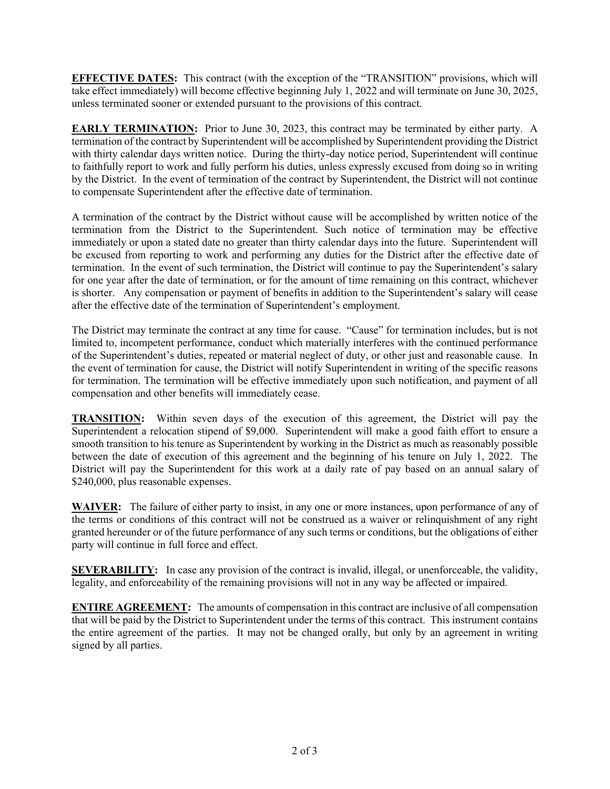**EFFECTIVE DATES:** This contract (with the exception of the "TRANSITION" provisions, which will take effect immediately) will become effective beginning July 1, 2022 and will terminate on June 30, 2025, unless terminated sooner or extended pursuant to the provisions of this contract.

**EARLY TERMINATION:** Prior to June 30, 2023, this contract may be terminated by either party. A termination of the contract by Superintendent will be accomplished by Superintendent providing the District with thirty calendar days written notice. During the thirty-day notice period, Superintendent will continue to faithfully report to work and fully perform his duties, unless expressly excused from doing so in writing by the District. In the event of termination of the contract by Superintendent, the District will not continue to compensate Superintendent after the effective date of termination.

A termination of the contract by the District without cause will be accomplished by written notice of the termination from the District to the Superintendent. Such notice of termination may be effective immediately or upon a stated date no greater than thirty calendar days into the future. Superintendent will be excused from reporting to work and performing any duties for the District after the effective date of termination. In the event of such termination, the District will continue to pay the Superintendent's salary for one year after the date of termination, or for the amount of time remaining on this contract, whichever is shorter. Any compensation or payment of benefits in addition to the Superintendent's salary will cease after the effective date of the termination of Superintendent's employment.

The District may terminate the contract at any time for cause. "Cause" for termination includes, but is not limited to, incompetent performance, conduct which materially interferes with the continued performance of the Superintendent's duties, repeated or material neglect of duty, or other just and reasonable cause. In the event of termination for cause, the District will notify Superintendent in writing of the specific reasons for termination. The termination will be effective immediately upon such notification, and payment of all compensation and other benefits will immediately cease.

**TRANSITION:** Within seven days of the execution of this agreement, the District will pay the Superintendent a relocation stipend of \$9,000. Superintendent will make a good faith effort to ensure a smooth transition to his tenure as Superintendent by working in the District as much as reasonably possible between the date of execution of this agreement and the beginning of his tenure on July 1, 2022. The District will pay the Superintendent for this work at a daily rate of pay based on an annual salary of \$240,000, plus reasonable expenses.

**WAIVER:** The failure of either party to insist, in any one or more instances, upon performance of any of the terms or conditions of this contract will not be construed as a waiver or relinquishment of any right granted hereunder or of the future performance of any such terms or conditions, but the obligations of either party will continue in full force and effect.

**SEVERABILITY:** In case any provision of the contract is invalid, illegal, or unenforceable, the validity, legality, and enforceability of the remaining provisions will not in any way be affected or impaired.

**ENTIRE AGREEMENT:** The amounts of compensation in this contract are inclusive of all compensation that will be paid by the District to Superintendent under the terms of this contract. This instrument contains the entire agreement of the parties. It may not be changed orally, but only by an agreement in writing signed by all parties.